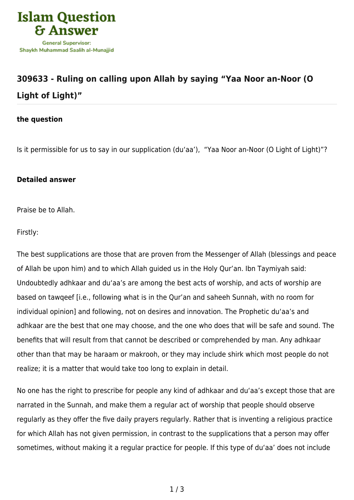

## **[309633 - Ruling on calling upon Allah by saying "Yaa Noor an-Noor \(O](https://islamqa.com/en/answers/309633/ruling-on-calling-upon-allah-by-saying-yaa-noor-an-noor-o-light-of-light) [Light of Light\)"](https://islamqa.com/en/answers/309633/ruling-on-calling-upon-allah-by-saying-yaa-noor-an-noor-o-light-of-light)**

## **the question**

Is it permissible for us to say in our supplication (du'aa'), "Yaa Noor an-Noor (O Light of Light)"?

## **Detailed answer**

Praise be to Allah.

Firstly:

The best supplications are those that are proven from the Messenger of Allah (blessings and peace of Allah be upon him) and to which Allah guided us in the Holy Qur'an. Ibn Taymiyah said: Undoubtedly adhkaar and du'aa's are among the best acts of worship, and acts of worship are based on tawqeef [i.e., following what is in the Qur'an and saheeh Sunnah, with no room for individual opinion] and following, not on desires and innovation. The Prophetic du'aa's and adhkaar are the best that one may choose, and the one who does that will be safe and sound. The benefits that will result from that cannot be described or comprehended by man. Any adhkaar other than that may be haraam or makrooh, or they may include shirk which most people do not realize; it is a matter that would take too long to explain in detail.

No one has the right to prescribe for people any kind of adhkaar and du'aa's except those that are narrated in the Sunnah, and make them a regular act of worship that people should observe regularly as they offer the five daily prayers regularly. Rather that is inventing a religious practice for which Allah has not given permission, in contrast to the supplications that a person may offer sometimes, without making it a regular practice for people. If this type of du'aa' does not include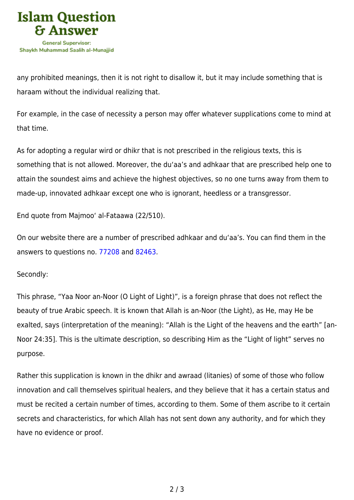

any prohibited meanings, then it is not right to disallow it, but it may include something that is haraam without the individual realizing that.

For example, in the case of necessity a person may offer whatever supplications come to mind at that time.

As for adopting a regular wird or dhikr that is not prescribed in the religious texts, this is something that is not allowed. Moreover, the du'aa's and adhkaar that are prescribed help one to attain the soundest aims and achieve the highest objectives, so no one turns away from them to made-up, innovated adhkaar except one who is ignorant, heedless or a transgressor.

End quote from Majmoo' al-Fataawa (22/510).

On our website there are a number of prescribed adhkaar and du'aa's. You can find them in the answers to questions no. [77208](https://islamqa.com/en/answers/77208) and [82463](https://islamqa.com/en/answers/82463).

Secondly:

This phrase, "Yaa Noor an-Noor (O Light of Light)", is a foreign phrase that does not reflect the beauty of true Arabic speech. It is known that Allah is an-Noor (the Light), as He, may He be exalted, says (interpretation of the meaning): "Allah is the Light of the heavens and the earth" [an-Noor 24:35]. This is the ultimate description, so describing Him as the "Light of light" serves no purpose.

Rather this supplication is known in the dhikr and awraad (litanies) of some of those who follow innovation and call themselves spiritual healers, and they believe that it has a certain status and must be recited a certain number of times, according to them. Some of them ascribe to it certain secrets and characteristics, for which Allah has not sent down any authority, and for which they have no evidence or proof.